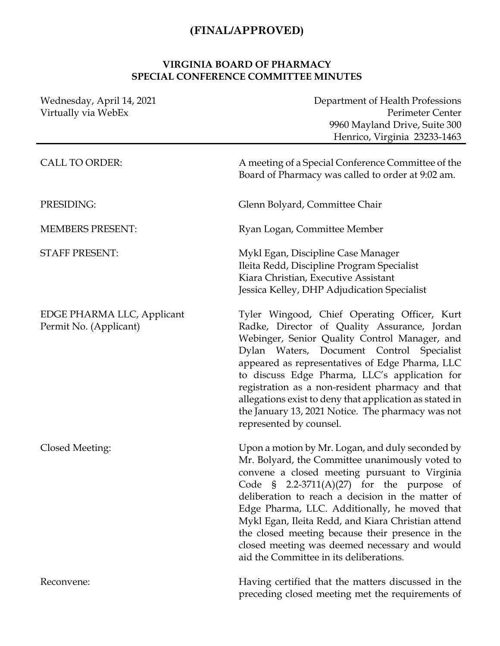## **(FINAL/APPROVED)**

## **VIRGINIA BOARD OF PHARMACY SPECIAL CONFERENCE COMMITTEE MINUTES**

| Wednesday, April 14, 2021<br>Virtually via WebEx     | Department of Health Professions<br>Perimeter Center<br>9960 Mayland Drive, Suite 300<br>Henrico, Virginia 23233-1463                                                                                                                                                                                                                                                                                                                                                                                                     |
|------------------------------------------------------|---------------------------------------------------------------------------------------------------------------------------------------------------------------------------------------------------------------------------------------------------------------------------------------------------------------------------------------------------------------------------------------------------------------------------------------------------------------------------------------------------------------------------|
| <b>CALL TO ORDER:</b>                                | A meeting of a Special Conference Committee of the<br>Board of Pharmacy was called to order at 9:02 am.                                                                                                                                                                                                                                                                                                                                                                                                                   |
| PRESIDING:                                           | Glenn Bolyard, Committee Chair                                                                                                                                                                                                                                                                                                                                                                                                                                                                                            |
| <b>MEMBERS PRESENT:</b>                              | Ryan Logan, Committee Member                                                                                                                                                                                                                                                                                                                                                                                                                                                                                              |
| <b>STAFF PRESENT:</b>                                | Mykl Egan, Discipline Case Manager<br>Ileita Redd, Discipline Program Specialist<br>Kiara Christian, Executive Assistant<br>Jessica Kelley, DHP Adjudication Specialist                                                                                                                                                                                                                                                                                                                                                   |
| EDGE PHARMA LLC, Applicant<br>Permit No. (Applicant) | Tyler Wingood, Chief Operating Officer, Kurt<br>Radke, Director of Quality Assurance, Jordan<br>Webinger, Senior Quality Control Manager, and<br>Dylan Waters, Document Control Specialist<br>appeared as representatives of Edge Pharma, LLC<br>to discuss Edge Pharma, LLC's application for<br>registration as a non-resident pharmacy and that<br>allegations exist to deny that application as stated in<br>the January 13, 2021 Notice. The pharmacy was not<br>represented by counsel.                             |
| Closed Meeting:                                      | Upon a motion by Mr. Logan, and duly seconded by<br>Mr. Bolyard, the Committee unanimously voted to<br>convene a closed meeting pursuant to Virginia<br>Code $\frac{1}{2}$ 2.2-3711(A)(27) for the purpose of<br>deliberation to reach a decision in the matter of<br>Edge Pharma, LLC. Additionally, he moved that<br>Mykl Egan, Ileita Redd, and Kiara Christian attend<br>the closed meeting because their presence in the<br>closed meeting was deemed necessary and would<br>aid the Committee in its deliberations. |
| Reconvene:                                           | Having certified that the matters discussed in the<br>preceding closed meeting met the requirements of                                                                                                                                                                                                                                                                                                                                                                                                                    |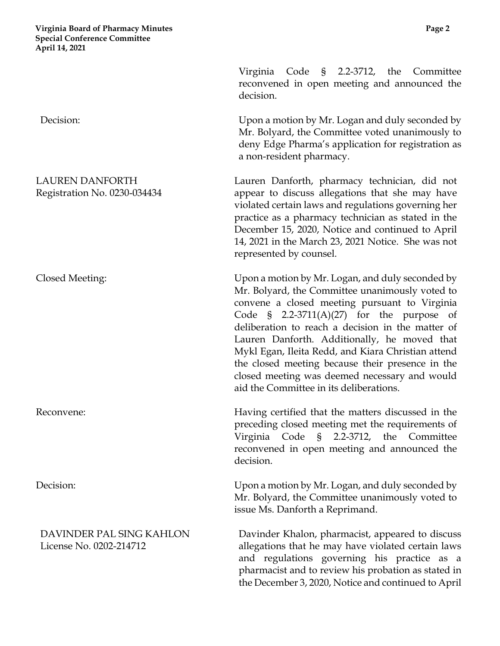**Virginia Board of Pharmacy Minutes Page 2 Special Conference Committee April 14, 2021**

Virginia Code § 2.2-3712, the Committee reconvened in open meeting and announced the decision. Decision: Upon a motion by Mr. Logan and duly seconded by Mr. Bolyard, the Committee voted unanimously to deny Edge Pharma's application for registration as a non-resident pharmacy. LAUREN DANFORTH Registration No. 0230-034434 Lauren Danforth, pharmacy technician, did not appear to discuss allegations that she may have violated certain laws and regulations governing her practice as a pharmacy technician as stated in the December 15, 2020, Notice and continued to April 14, 2021 in the March 23, 2021 Notice. She was not represented by counsel. Closed Meeting: Upon a motion by Mr. Logan, and duly seconded by Mr. Bolyard, the Committee unanimously voted to convene a closed meeting pursuant to Virginia Code § 2.2-3711(A)(27) for the purpose of deliberation to reach a decision in the matter of Lauren Danforth. Additionally, he moved that Mykl Egan, Ileita Redd, and Kiara Christian attend the closed meeting because their presence in the closed meeting was deemed necessary and would aid the Committee in its deliberations. Reconvene: **Having certified that the matters discussed in the** preceding closed meeting met the requirements of Virginia Code § 2.2-3712, the Committee reconvened in open meeting and announced the decision. Decision: Upon a motion by Mr. Logan, and duly seconded by Mr. Bolyard, the Committee unanimously voted to issue Ms. Danforth a Reprimand. DAVINDER PAL SING KAHLON License No. 0202-214712 Davinder Khalon, pharmacist, appeared to discuss allegations that he may have violated certain laws and regulations governing his practice as a

> pharmacist and to review his probation as stated in the December 3, 2020, Notice and continued to April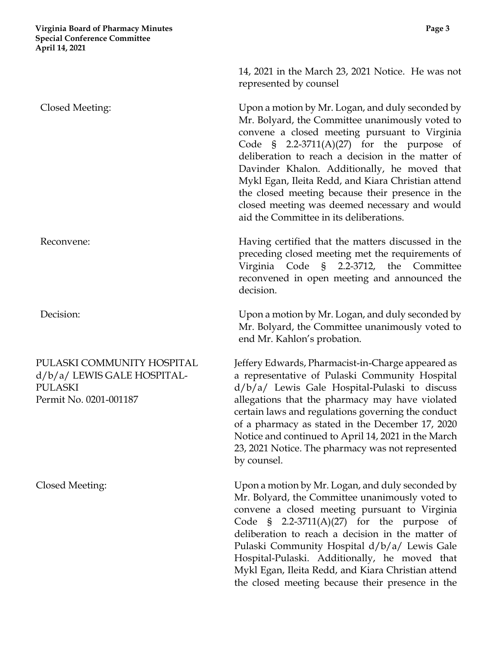## PULASKI COMMUNITY HOSPITAL d/b/a/ LEWIS GALE HOSPITAL-PULASKI Permit No. 0201-001187

14, 2021 in the March 23, 2021 Notice. He was not represented by counsel

Closed Meeting: Upon a motion by Mr. Logan, and duly seconded by Mr. Bolyard, the Committee unanimously voted to convene a closed meeting pursuant to Virginia Code § 2.2-3711(A)(27) for the purpose of deliberation to reach a decision in the matter of Davinder Khalon. Additionally, he moved that Mykl Egan, Ileita Redd, and Kiara Christian attend the closed meeting because their presence in the closed meeting was deemed necessary and would aid the Committee in its deliberations.

Reconvene: **Having certified that the matters discussed in the** preceding closed meeting met the requirements of Virginia Code § 2.2-3712, the Committee reconvened in open meeting and announced the decision.

Decision: Upon a motion by Mr. Logan, and duly seconded by Mr. Bolyard, the Committee unanimously voted to end Mr. Kahlon's probation.

> Jeffery Edwards, Pharmacist-in-Charge appeared as a representative of Pulaski Community Hospital d/b/a/ Lewis Gale Hospital-Pulaski to discuss allegations that the pharmacy may have violated certain laws and regulations governing the conduct of a pharmacy as stated in the December 17, 2020 Notice and continued to April 14, 2021 in the March 23, 2021 Notice. The pharmacy was not represented by counsel.

Closed Meeting: Upon a motion by Mr. Logan, and duly seconded by Mr. Bolyard, the Committee unanimously voted to convene a closed meeting pursuant to Virginia Code § 2.2-3711(A)(27) for the purpose of deliberation to reach a decision in the matter of Pulaski Community Hospital d/b/a/ Lewis Gale Hospital-Pulaski. Additionally, he moved that Mykl Egan, Ileita Redd, and Kiara Christian attend the closed meeting because their presence in the